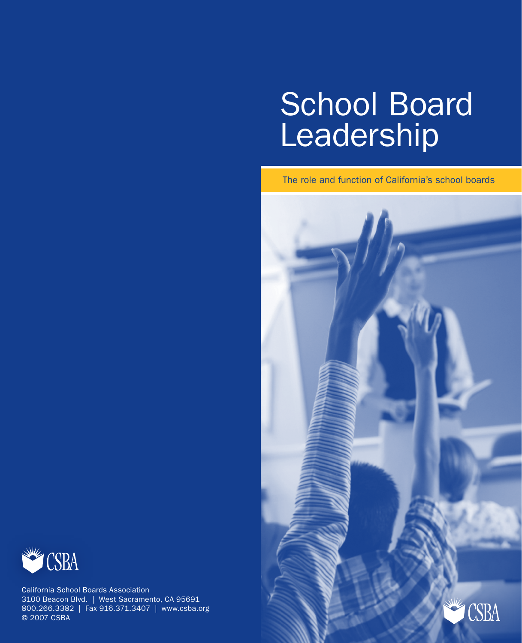# School Board Leadership

The role and function of California's school boards





California School Boards Association 3100 Beacon Blvd. | West Sacramento, CA 95691 800.266.3382 | Fax 916.371.3407 | www.csba.org © 2007 CSBA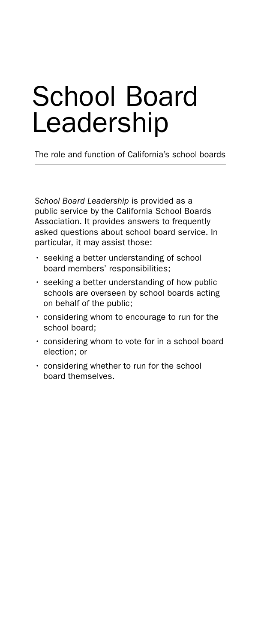## School Board Leadership

The role and function of California's school boards

*School Board Leadership* is provided as a public service by the California School Boards Association. It provides answers to frequently asked questions about school board service. In particular, it may assist those:

- seeking a better understanding of school board members' responsibilities;
- seeking a better understanding of how public schools are overseen by school boards acting on behalf of the public;
- considering whom to encourage to run for the school board;
- considering whom to vote for in a school board election; or
- considering whether to run for the school board themselves.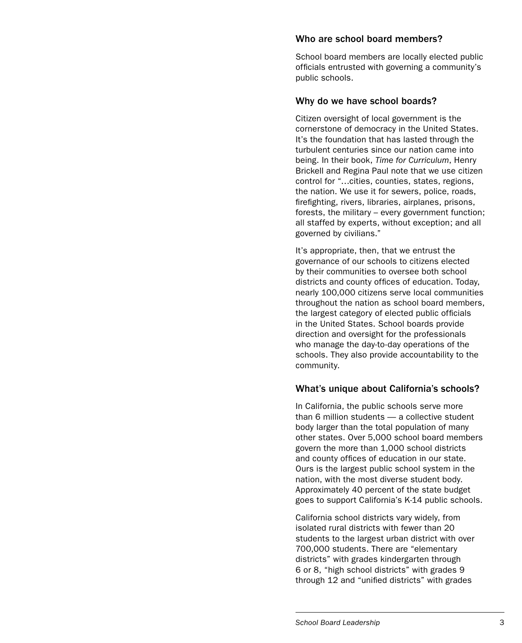#### Who are school board members?

School board members are locally elected public officials entrusted with governing a community's public schools.

#### Why do we have school boards?

Citizen oversight of local government is the cornerstone of democracy in the United States. It's the foundation that has lasted through the turbulent centuries since our nation came into being. In their book, *Time for Curriculum*, Henry Brickell and Regina Paul note that we use citizen control for "…cities, counties, states, regions, the nation. We use it for sewers, police, roads, firefighting, rivers, libraries, airplanes, prisons, forests, the military – every government function; all staffed by experts, without exception; and all governed by civilians."

It's appropriate, then, that we entrust the governance of our schools to citizens elected by their communities to oversee both school districts and county offices of education. Today, nearly 100,000 citizens serve local communities throughout the nation as school board members, the largest category of elected public officials in the United States. School boards provide direction and oversight for the professionals who manage the day-to-day operations of the schools. They also provide accountability to the community.

#### What's unique about California's schools?

In California, the public schools serve more than 6 million students — a collective student body larger than the total population of many other states. Over 5,000 school board members govern the more than 1,000 school districts and county offices of education in our state. Ours is the largest public school system in the nation, with the most diverse student body. Approximately 40 percent of the state budget goes to support California's K-14 public schools.

California school districts vary widely, from isolated rural districts with fewer than 20 students to the largest urban district with over 700,000 students. There are "elementary districts" with grades kindergarten through 6 or 8, "high school districts" with grades 9 through 12 and "unified districts" with grades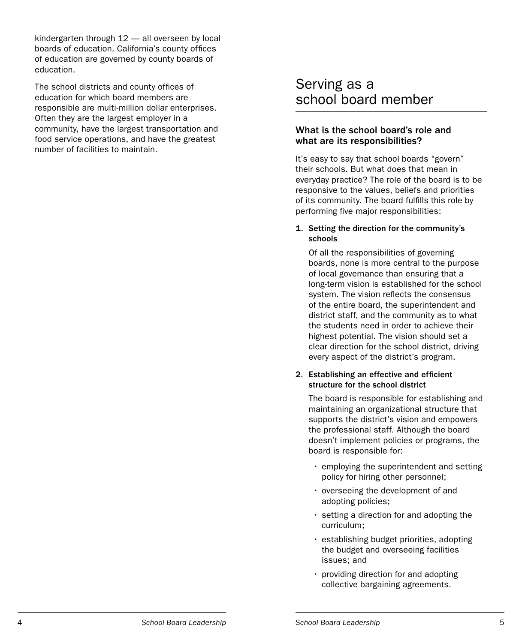kindergarten through 12 — all overseen by local boards of education. California's county offices of education are governed by county boards of education.

The school districts and county offices of education for which board members are responsible are multi-million dollar enterprises. Often they are the largest employer in a community, have the largest transportation and food service operations, and have the greatest number of facilities to maintain.

## Serving as a school board member

#### What is the school board's role and what are its responsibilities?

It's easy to say that school boards "govern" their schools. But what does that mean in everyday practice? The role of the board is to be responsive to the values, beliefs and priorities of its community. The board fulfills this role by performing five major responsibilities:

#### 1. Setting the direction for the community's schools

Of all the responsibilities of governing boards, none is more central to the purpose of local governance than ensuring that a long-term vision is established for the school system. The vision reflects the consensus of the entire board, the superintendent and district staff, and the community as to what the students need in order to achieve their highest potential. The vision should set a clear direction for the school district, driving every aspect of the district's program.

#### 2. Establishing an effective and efficient structure for the school district

The board is responsible for establishing and maintaining an organizational structure that supports the district's vision and empowers the professional staff. Although the board doesn't implement policies or programs, the board is responsible for:

- employing the superintendent and setting policy for hiring other personnel;
- overseeing the development of and adopting policies;
- setting a direction for and adopting the curriculum;
- establishing budget priorities, adopting the budget and overseeing facilities issues; and
- providing direction for and adopting collective bargaining agreements.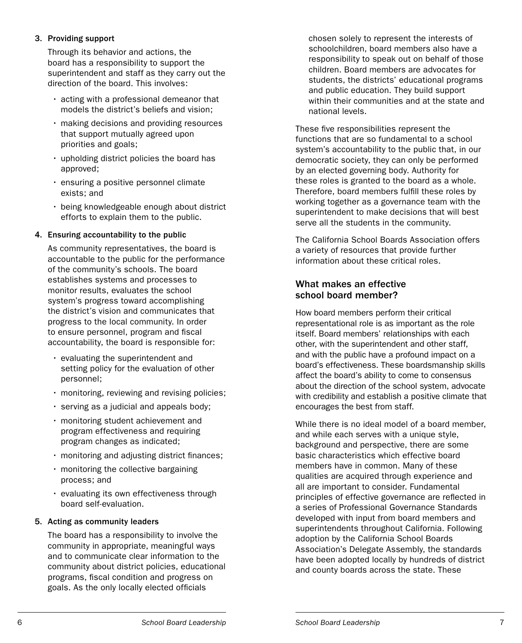#### 3. Providing support

Through its behavior and actions, the board has a responsibility to support the superintendent and staff as they carry out the direction of the board. This involves:

- acting with a professional demeanor that models the district's beliefs and vision;
- making decisions and providing resources that support mutually agreed upon priorities and goals;
- upholding district policies the board has approved;
- ensuring a positive personnel climate exists; and
- being knowledgeable enough about district efforts to explain them to the public.

#### 4. Ensuring accountability to the public

As community representatives, the board is accountable to the public for the performance of the community's schools. The board establishes systems and processes to monitor results, evaluates the school system's progress toward accomplishing the district's vision and communicates that progress to the local community. In order to ensure personnel, program and fiscal accountability, the board is responsible for:<br>• evaluating the superintendent and

- setting policy for the evaluation of other personnel;
- monitoring, reviewing and revising policies;
- serving as a judicial and appeals body; monitoring student achievement and
- program effectiveness and requiring program changes as indicated;
- monitoring and adjusting district finances;<br>• monitoring the collective bargaining
- process; and
- evaluating its own effectiveness through board self-evaluation.

#### 5. Acting as community leaders

The board has a responsibility to involve the community in appropriate, meaningful ways and to communicate clear information to the community about district policies, educational programs, fiscal condition and progress on goals. As the only locally elected officials

chosen solely to represent the interests of schoolchildren, board members also have a responsibility to speak out on behalf of those children. Board members are advocates for students, the districts' educational programs and public education. They build support within their communities and at the state and national levels.

These five responsibilities represent the functions that are so fundamental to a school system's accountability to the public that, in our democratic society, they can only be performed by an elected governing body. Authority for these roles is granted to the board as a whole. Therefore, board members fulfill these roles by working together as a governance team with the superintendent to make decisions that will best serve all the students in the community.

The California School Boards Association offers a variety of resources that provide further information about these critical roles.

#### What makes an effective school board member?

How board members perform their critical representational role is as important as the role itself. Board members' relationships with each other, with the superintendent and other staff, and with the public have a profound impact on a board's effectiveness. These boardsmanship skills affect the board's ability to come to consensus about the direction of the school system, advocate with credibility and establish a positive climate that encourages the best from staff.

While there is no ideal model of a board member, and while each serves with a unique style, background and perspective, there are some basic characteristics which effective board members have in common. Many of these qualities are acquired through experience and all are important to consider. Fundamental principles of effective governance are reflected in a series of Professional Governance Standards developed with input from board members and superintendents throughout California. Following adoption by the California School Boards Association's Delegate Assembly, the standards have been adopted locally by hundreds of district and county boards across the state. These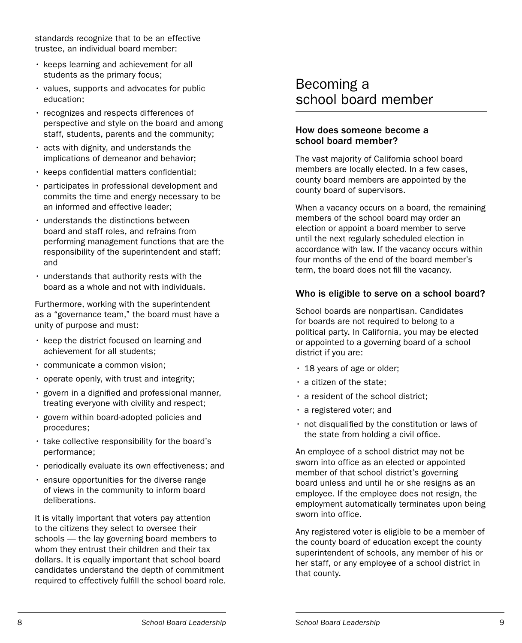standards recognize that to be an effective trustee, an individual board member:<br>• keeps learning and achievement for all

- students as the primary focus;
- values, supports and advocates for public education;
- recognizes and respects differences of perspective and style on the board and among staff, students, parents and the community;
- acts with dignity, and understands the implications of demeanor and behavior;
- 
- keeps confidential matters confidential;<br>• participates in professional development and commits the time and energy necessary to be an informed and effective leader;
- understands the distinctions between board and staff roles, and refrains from performing management functions that are the responsibility of the superintendent and staff; and
- understands that authority rests with the board as a whole and not with individuals.

Furthermore, working with the superintendent as a "governance team," the board must have a unity of purpose and must:

- keep the district focused on learning and achievement for all students;
- communicate a common vision;
- operate openly, with trust and integrity;
- govern in a dignified and professional manner, treating everyone with civility and respect;
- govern within board-adopted policies and procedures;
- take collective responsibility for the board's performance;
- periodically evaluate its own effectiveness; and
- ensure opportunities for the diverse range of views in the community to inform board deliberations.

It is vitally important that voters pay attention to the citizens they select to oversee their schools — the lay governing board members to whom they entrust their children and their tax dollars. It is equally important that school board candidates understand the depth of commitment required to effectively fulfill the school board role.

## Becoming a school board member

#### How does someone become a school board member?

The vast majority of California school board members are locally elected. In a few cases, county board members are appointed by the county board of supervisors.

When a vacancy occurs on a board, the remaining members of the school board may order an election or appoint a board member to serve until the next regularly scheduled election in accordance with law. If the vacancy occurs within four months of the end of the board member's term, the board does not fill the vacancy.

#### Who is eligible to serve on a school board?

School boards are nonpartisan. Candidates for boards are not required to belong to a political party. In California, you may be elected or appointed to a governing board of a school

- 
- 
- 
- 
- district if you are:<br>
18 years of age or older;<br>
a resident of the school district;<br>
a registered voter; and<br>
not disqualified by the constitution or laws of the state from holding a civil office.

An employee of a school district may not be sworn into office as an elected or appointed member of that school district's governing board unless and until he or she resigns as an employee. If the employee does not resign, the employment automatically terminates upon being sworn into office.

Any registered voter is eligible to be a member of the county board of education except the county superintendent of schools, any member of his or her staff, or any employee of a school district in that county.